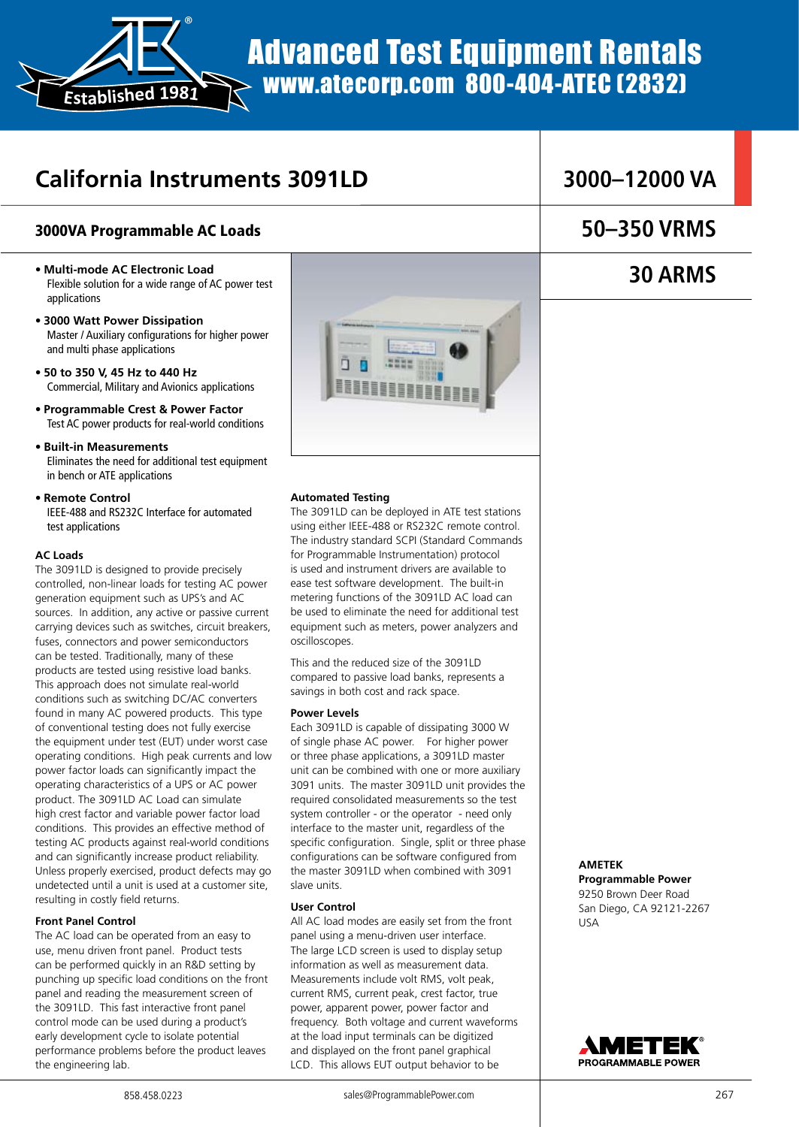

# Advanced Test Equipment Rentals www.atecorp.com 800-404-ATEC (2832)

### **California Instruments 3091LD**

### 3000VA Programmable AC Loads

- **Multi-mode AC Electronic Load** Flexible solution for a wide range of AC power test applications
- **3000 Watt Power Dissipation** Master / Auxiliary configurations for higher power and multi phase applications
- **50 to 350 V, 45 Hz to 440 Hz** Commercial, Military and Avionics applications
- **Programmable Crest & Power Factor** Test AC power products for real-world conditions
- **Built-in Measurements** Eliminates the need for additional test equipment in bench or ATE applications
- **Remote Control** IEEE-488 and RS232C Interface for automated test applications

#### **AC Loads**

The 3091LD is designed to provide precisely controlled, non-linear loads for testing AC power generation equipment such as UPS's and AC sources. In addition, any active or passive current carrying devices such as switches, circuit breakers, fuses, connectors and power semiconductors can be tested. Traditionally, many of these products are tested using resistive load banks. This approach does not simulate real-world conditions such as switching DC/AC converters found in many AC powered products. This type of conventional testing does not fully exercise the equipment under test (EUT) under worst case operating conditions. High peak currents and low power factor loads can significantly impact the operating characteristics of a UPS or AC power product. The 3091LD AC Load can simulate high crest factor and variable power factor load conditions. This provides an effective method of testing AC products against real-world conditions and can significantly increase product reliability. Unless properly exercised, product defects may go undetected until a unit is used at a customer site, resulting in costly field returns.

#### **Front Panel Control**

The AC load can be operated from an easy to use, menu driven front panel. Product tests can be performed quickly in an R&D setting by punching up specific load conditions on the front panel and reading the measurement screen of the 3091LD. This fast interactive front panel control mode can be used during a product's early development cycle to isolate potential performance problems before the product leaves the engineering lab.



#### **Automated Testing**

The 3091LD can be deployed in ATE test stations using either IEEE-488 or RS232C remote control. The industry standard SCPI (Standard Commands for Programmable Instrumentation) protocol is used and instrument drivers are available to ease test software development. The built-in metering functions of the 3091LD AC load can be used to eliminate the need for additional test equipment such as meters, power analyzers and oscilloscopes.

This and the reduced size of the 3091LD compared to passive load banks, represents a savings in both cost and rack space.

#### **Power Levels**

Each 3091LD is capable of dissipating 3000 W of single phase AC power. For higher power or three phase applications, a 3091LD master unit can be combined with one or more auxiliary 3091 units. The master 3091LD unit provides the required consolidated measurements so the test system controller - or the operator - need only interface to the master unit, regardless of the specific configuration. Single, split or three phase configurations can be software configured from the master 3091LD when combined with 3091 slave units.

#### **User Control**

All AC load modes are easily set from the front panel using a menu-driven user interface. The large LCD screen is used to display setup information as well as measurement data. Measurements include volt RMS, volt peak, current RMS, current peak, crest factor, true power, apparent power, power factor and frequency. Both voltage and current waveforms at the load input terminals can be digitized and displayed on the front panel graphical LCD. This allows EUT output behavior to be

### **3000–12000 VA**

### **50–350 VRMS**

### **30 ARMS**

**AMETEK Programmable Power**  9250 Brown Deer Road San Diego, CA 92121-2267 USA

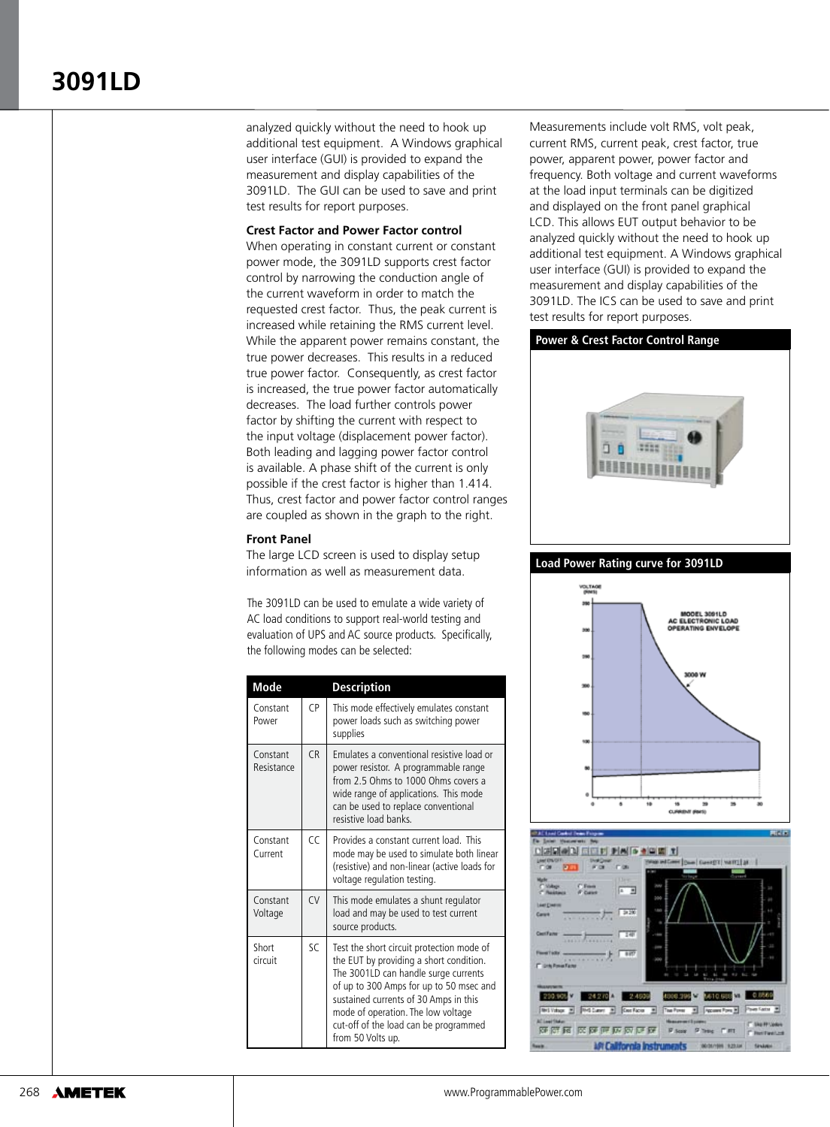analyzed quickly without the need to hook up additional test equipment. A Windows graphical user interface (GUI) is provided to expand the measurement and display capabilities of the 3091LD. The GUI can be used to save and print test results for report purposes.

#### **Crest Factor and Power Factor control**

When operating in constant current or constant power mode, the 3091LD supports crest factor control by narrowing the conduction angle of the current waveform in order to match the requested crest factor. Thus, the peak current is increased while retaining the RMS current level. While the apparent power remains constant, the true power decreases. This results in a reduced true power factor. Consequently, as crest factor is increased, the true power factor automatically decreases. The load further controls power factor by shifting the current with respect to the input voltage (displacement power factor). Both leading and lagging power factor control is available. A phase shift of the current is only possible if the crest factor is higher than 1.414. Thus, crest factor and power factor control ranges are coupled as shown in the graph to the right.

#### **Front Panel**

The large LCD screen is used to display setup information as well as measurement data.

The 3091LD can be used to emulate a wide variety of AC load conditions to support real-world testing and evaluation of UPS and AC source products. Specifically, the following modes can be selected:

| Mode                   |                | <b>Description</b>                                                                                                                                                                                                                                                                                                   |
|------------------------|----------------|----------------------------------------------------------------------------------------------------------------------------------------------------------------------------------------------------------------------------------------------------------------------------------------------------------------------|
| Constant<br>Power      | CP             | This mode effectively emulates constant<br>power loads such as switching power<br>supplies                                                                                                                                                                                                                           |
| Constant<br>Resistance | C <sub>R</sub> | Emulates a conventional resistive load or<br>power resistor. A programmable range<br>from 2.5 Ohms to 1000 Ohms covers a<br>wide range of applications. This mode<br>can be used to replace conventional<br>resistive load banks                                                                                     |
| Constant<br>Current    | CC             | Provides a constant current load. This<br>mode may be used to simulate both linear<br>(resistive) and non-linear (active loads for<br>voltage regulation testing.                                                                                                                                                    |
| Constant<br>Voltage    | <b>CV</b>      | This mode emulates a shunt regulator<br>load and may be used to test current<br>source products.                                                                                                                                                                                                                     |
| Short<br>circuit       | $\varsigma$ C  | Test the short circuit protection mode of<br>the EUT by providing a short condition.<br>The 3001LD can handle surge currents<br>of up to 300 Amps for up to 50 msec and<br>sustained currents of 30 Amps in this<br>mode of operation. The low voltage<br>cut-off of the load can be programmed<br>from 50 Volts up. |

Measurements include volt RMS, volt peak, current RMS, current peak, crest factor, true power, apparent power, power factor and frequency. Both voltage and current waveforms at the load input terminals can be digitized and displayed on the front panel graphical LCD. This allows EUT output behavior to be analyzed quickly without the need to hook up additional test equipment. A Windows graphical user interface (GUI) is provided to expand the measurement and display capabilities of the 3091LD. The ICS can be used to save and print test results for report purposes.

#### **Power & Crest Factor Control Range**



#### **Load Power Rating curve for 3091LD**



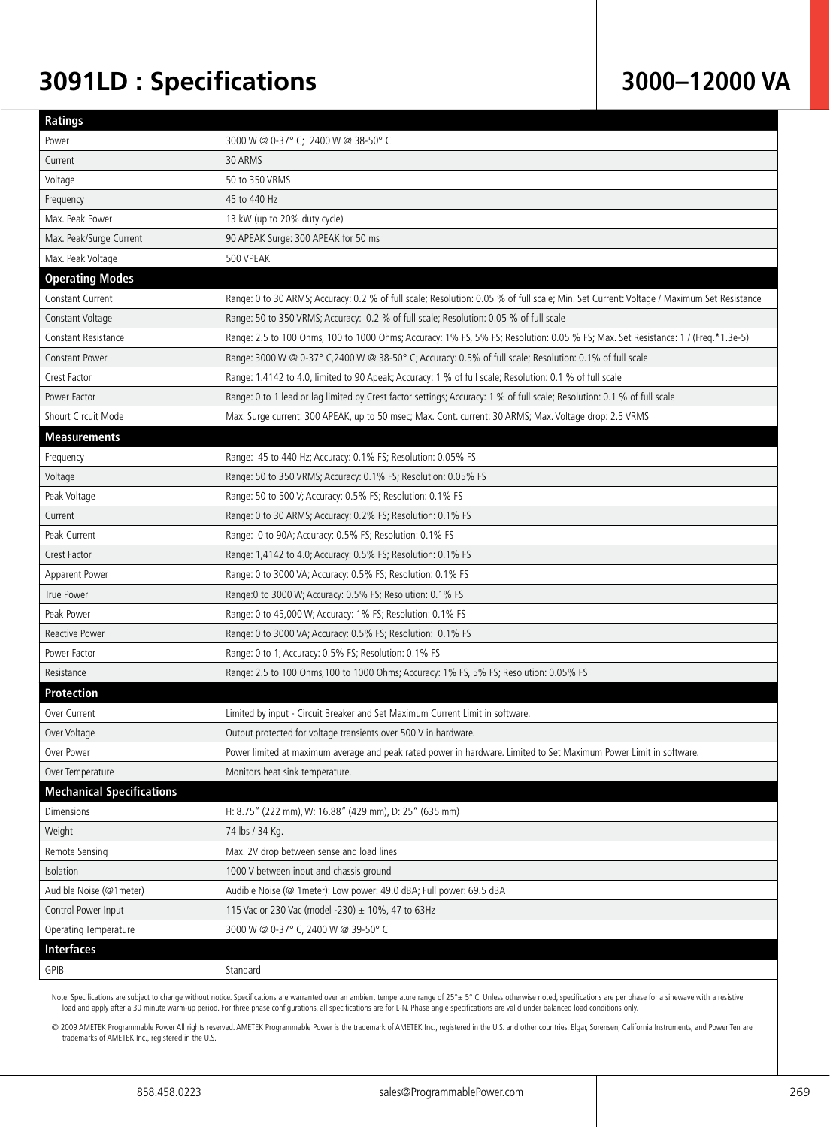## **3091LD : Specifications**

### **3000–12000 VA**

| <b>Ratings</b>                   |                                                                                                                                          |  |
|----------------------------------|------------------------------------------------------------------------------------------------------------------------------------------|--|
| Power                            | 3000 W @ 0-37° C; 2400 W @ 38-50° C                                                                                                      |  |
| Current                          | 30 ARMS                                                                                                                                  |  |
| Voltage                          | 50 to 350 VRMS                                                                                                                           |  |
| Frequency                        | 45 to 440 Hz                                                                                                                             |  |
| Max. Peak Power                  | 13 kW (up to 20% duty cycle)                                                                                                             |  |
| Max. Peak/Surge Current          | 90 APEAK Surge: 300 APEAK for 50 ms                                                                                                      |  |
| Max. Peak Voltage                | 500 VPEAK                                                                                                                                |  |
| <b>Operating Modes</b>           |                                                                                                                                          |  |
| <b>Constant Current</b>          | Range: 0 to 30 ARMS; Accuracy: 0.2 % of full scale; Resolution: 0.05 % of full scale; Min. Set Current: Voltage / Maximum Set Resistance |  |
| Constant Voltage                 | Range: 50 to 350 VRMS; Accuracy: 0.2 % of full scale; Resolution: 0.05 % of full scale                                                   |  |
| Constant Resistance              | Range: 2.5 to 100 Ohms, 100 to 1000 Ohms; Accuracy: 1% FS, 5% FS; Resolution: 0.05 % FS; Max. Set Resistance: 1 / (Freq.*1.3e-5)         |  |
| Constant Power                   | Range: 3000 W @ 0-37° C, 2400 W @ 38-50° C; Accuracy: 0.5% of full scale; Resolution: 0.1% of full scale                                 |  |
| Crest Factor                     | Range: 1.4142 to 4.0, limited to 90 Apeak; Accuracy: 1 % of full scale; Resolution: 0.1 % of full scale                                  |  |
| Power Factor                     | Range: 0 to 1 lead or lag limited by Crest factor settings; Accuracy: 1 % of full scale; Resolution: 0.1 % of full scale                 |  |
| Shourt Circuit Mode              | Max. Surge current: 300 APEAK, up to 50 msec; Max. Cont. current: 30 ARMS; Max. Voltage drop: 2.5 VRMS                                   |  |
| <b>Measurements</b>              |                                                                                                                                          |  |
| Frequency                        | Range: 45 to 440 Hz; Accuracy: 0.1% FS; Resolution: 0.05% FS                                                                             |  |
| Voltage                          | Range: 50 to 350 VRMS; Accuracy: 0.1% FS; Resolution: 0.05% FS                                                                           |  |
| Peak Voltage                     | Range: 50 to 500 V; Accuracy: 0.5% FS; Resolution: 0.1% FS                                                                               |  |
| Current                          | Range: 0 to 30 ARMS; Accuracy: 0.2% FS; Resolution: 0.1% FS                                                                              |  |
| Peak Current                     | Range: 0 to 90A; Accuracy: 0.5% FS; Resolution: 0.1% FS                                                                                  |  |
| Crest Factor                     | Range: 1,4142 to 4.0; Accuracy: 0.5% FS; Resolution: 0.1% FS                                                                             |  |
| Apparent Power                   | Range: 0 to 3000 VA; Accuracy: 0.5% FS; Resolution: 0.1% FS                                                                              |  |
| True Power                       | Range: 0 to 3000 W; Accuracy: 0.5% FS; Resolution: 0.1% FS                                                                               |  |
| Peak Power                       | Range: 0 to 45,000 W; Accuracy: 1% FS; Resolution: 0.1% FS                                                                               |  |
| Reactive Power                   | Range: 0 to 3000 VA; Accuracy: 0.5% FS; Resolution: 0.1% FS                                                                              |  |
| Power Factor                     | Range: 0 to 1; Accuracy: 0.5% FS; Resolution: 0.1% FS                                                                                    |  |
| Resistance                       | Range: 2.5 to 100 Ohms, 100 to 1000 Ohms; Accuracy: 1% FS, 5% FS; Resolution: 0.05% FS                                                   |  |
| <b>Protection</b>                |                                                                                                                                          |  |
| Over Current                     | Limited by input - Circuit Breaker and Set Maximum Current Limit in software.                                                            |  |
| Over Voltage                     | Output protected for voltage transients over 500 V in hardware.                                                                          |  |
| Over Power                       | Power limited at maximum average and peak rated power in hardware. Limited to Set Maximum Power Limit in software.                       |  |
| Over Temperature                 | Monitors heat sink temperature.                                                                                                          |  |
| <b>Mechanical Specifications</b> |                                                                                                                                          |  |
| <b>Dimensions</b>                | H: 8.75" (222 mm), W: 16.88" (429 mm), D: 25" (635 mm)                                                                                   |  |
| Weight                           | 74 lbs / 34 Kg.                                                                                                                          |  |
| Remote Sensing                   | Max. 2V drop between sense and load lines                                                                                                |  |
| Isolation                        | 1000 V between input and chassis ground                                                                                                  |  |
| Audible Noise (@1meter)          | Audible Noise (@ 1meter): Low power: 49.0 dBA; Full power: 69.5 dBA                                                                      |  |
| Control Power Input              | 115 Vac or 230 Vac (model -230) ± 10%, 47 to 63Hz                                                                                        |  |
| Operating Temperature            | 3000 W @ 0-37° C, 2400 W @ 39-50° C                                                                                                      |  |
| <b>Interfaces</b>                |                                                                                                                                          |  |
| GPIB                             | Standard                                                                                                                                 |  |

Note: Specifications are subject to change without notice. Specifications are warranted over an ambient temperature range of 25° ± 5° C. Unless otherwise noted, specifications are per phase for a sinewave with a resistive<br>

© 2009 AMETEK Programmable Power All rights reserved. AMETEK Programmable Power is the trademark of AMETEK Inc., registered in the U.S. and other countries. Elgar, Sorensen, California Instruments, and Power Ten are<br>tradem